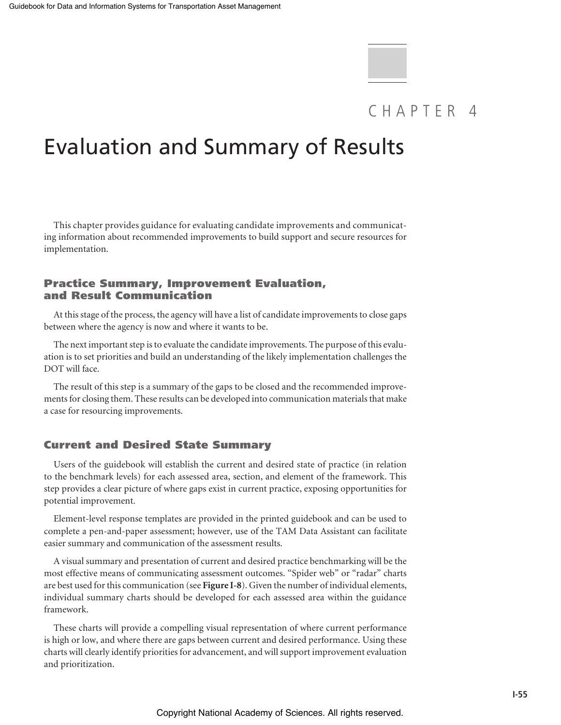# CHAPTER 4

# Evaluation and Summary of Results

This chapter provides guidance for evaluating candidate improvements and communicating information about recommended improvements to build support and secure resources for implementation.

# Practice Summary, Improvement Evaluation, and Result Communication

At this stage of the process, the agency will have a list of candidate improvements to close gaps between where the agency is now and where it wants to be.

The next important step is to evaluate the candidate improvements. The purpose of this evaluation is to set priorities and build an understanding of the likely implementation challenges the DOT will face.

The result of this step is a summary of the gaps to be closed and the recommended improvements for closing them. These results can be developed into communication materials that make a case for resourcing improvements.

# Current and Desired State Summary

Users of the guidebook will establish the current and desired state of practice (in relation to the benchmark levels) for each assessed area, section, and element of the framework. This step provides a clear picture of where gaps exist in current practice, exposing opportunities for potential improvement.

Element-level response templates are provided in the printed guidebook and can be used to complete a pen-and-paper assessment; however, use of the TAM Data Assistant can facilitate easier summary and communication of the assessment results.

A visual summary and presentation of current and desired practice benchmarking will be the most effective means of communicating assessment outcomes. "Spider web" or "radar" charts are best used for this communication (see **Figure I-8**). Given the number of individual elements, individual summary charts should be developed for each assessed area within the guidance framework.

These charts will provide a compelling visual representation of where current performance is high or low, and where there are gaps between current and desired performance. Using these charts will clearly identify priorities for advancement, and will support improvement evaluation and prioritization.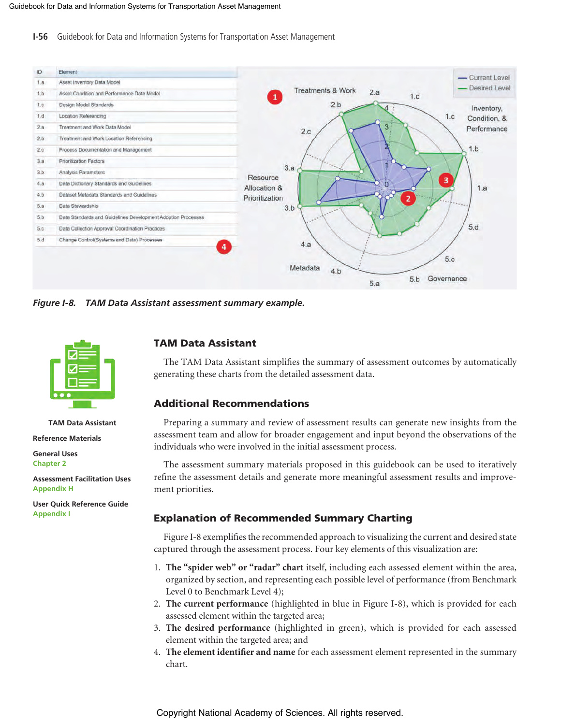**I-56** Guidebook for Data and Information Systems for Transportation Asset Management



*Figure I-8. TAM Data Assistant assessment summary example.*



### **TAM Data Assistant**

**Reference Materials**

**General Uses Chapter 2**

**Assessment Facilitation Uses Appendix H**

**User Quick Reference Guide Appendix I**

# TAM Data Assistant

The TAM Data Assistant simplifies the summary of assessment outcomes by automatically generating these charts from the detailed assessment data.

# Additional Recommendations

Preparing a summary and review of assessment results can generate new insights from the assessment team and allow for broader engagement and input beyond the observations of the individuals who were involved in the initial assessment process.

The assessment summary materials proposed in this guidebook can be used to iteratively refine the assessment details and generate more meaningful assessment results and improvement priorities.

# Explanation of Recommended Summary Charting

Figure I-8 exemplifies the recommended approach to visualizing the current and desired state captured through the assessment process. Four key elements of this visualization are:

- 1. **The "spider web" or "radar" chart** itself, including each assessed element within the area, organized by section, and representing each possible level of performance (from Benchmark Level 0 to Benchmark Level 4);
- 2. **The current performance** (highlighted in blue in Figure I-8), which is provided for each assessed element within the targeted area;
- 3. **The desired performance** (highlighted in green), which is provided for each assessed element within the targeted area; and
- 4. **The element identifier and name** for each assessment element represented in the summary chart.

Copyright National Academy of Sciences. All rights reserved.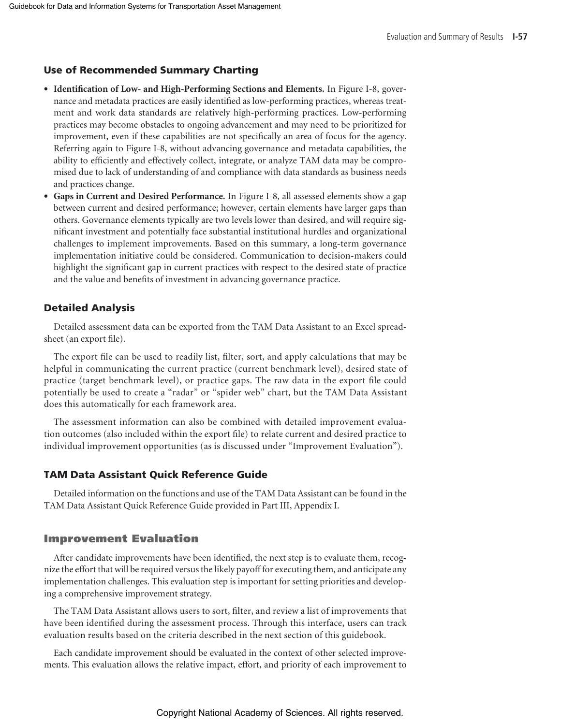## Use of Recommended Summary Charting

- **Identification of Low- and High-Performing Sections and Elements.** In Figure I-8, governance and metadata practices are easily identified as low-performing practices, whereas treatment and work data standards are relatively high-performing practices. Low-performing practices may become obstacles to ongoing advancement and may need to be prioritized for improvement, even if these capabilities are not specifically an area of focus for the agency. Referring again to Figure I-8, without advancing governance and metadata capabilities, the ability to efficiently and effectively collect, integrate, or analyze TAM data may be compromised due to lack of understanding of and compliance with data standards as business needs and practices change.
- **Gaps in Current and Desired Performance.** In Figure I-8, all assessed elements show a gap between current and desired performance; however, certain elements have larger gaps than others. Governance elements typically are two levels lower than desired, and will require significant investment and potentially face substantial institutional hurdles and organizational challenges to implement improvements. Based on this summary, a long-term governance implementation initiative could be considered. Communication to decision-makers could highlight the significant gap in current practices with respect to the desired state of practice and the value and benefits of investment in advancing governance practice.

#### Detailed Analysis

Detailed assessment data can be exported from the TAM Data Assistant to an Excel spreadsheet (an export file).

The export file can be used to readily list, filter, sort, and apply calculations that may be helpful in communicating the current practice (current benchmark level), desired state of practice (target benchmark level), or practice gaps. The raw data in the export file could potentially be used to create a "radar" or "spider web" chart, but the TAM Data Assistant does this automatically for each framework area.

The assessment information can also be combined with detailed improvement evaluation outcomes (also included within the export file) to relate current and desired practice to individual improvement opportunities (as is discussed under "Improvement Evaluation").

## TAM Data Assistant Quick Reference Guide

Detailed information on the functions and use of the TAM Data Assistant can be found in the TAM Data Assistant Quick Reference Guide provided in Part III, Appendix I.

### Improvement Evaluation

After candidate improvements have been identified, the next step is to evaluate them, recognize the effort that will be required versus the likely payoff for executing them, and anticipate any implementation challenges. This evaluation step is important for setting priorities and developing a comprehensive improvement strategy.

The TAM Data Assistant allows users to sort, filter, and review a list of improvements that have been identified during the assessment process. Through this interface, users can track evaluation results based on the criteria described in the next section of this guidebook.

Each candidate improvement should be evaluated in the context of other selected improvements. This evaluation allows the relative impact, effort, and priority of each improvement to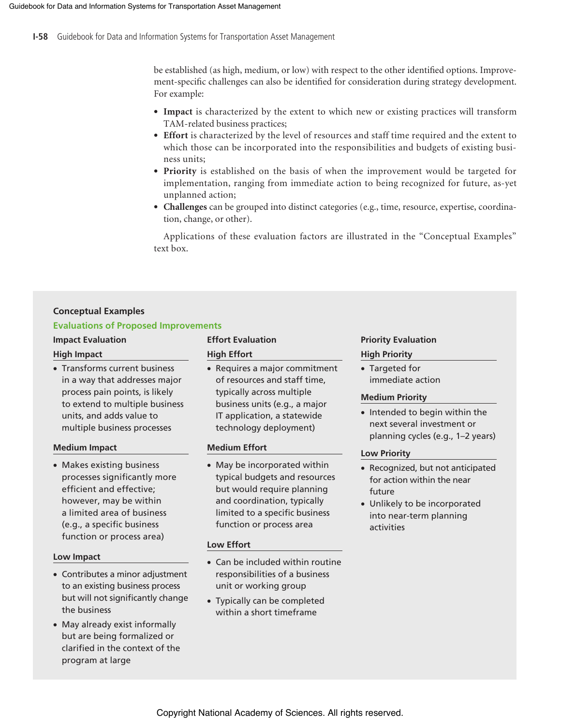be established (as high, medium, or low) with respect to the other identified options. Improvement-specific challenges can also be identified for consideration during strategy development. For example:

- **Impact** is characterized by the extent to which new or existing practices will transform TAM-related business practices;
- **Effort** is characterized by the level of resources and staff time required and the extent to which those can be incorporated into the responsibilities and budgets of existing business units;
- **Priority** is established on the basis of when the improvement would be targeted for implementation, ranging from immediate action to being recognized for future, as-yet unplanned action;
- **Challenges** can be grouped into distinct categories (e.g., time, resource, expertise, coordination, change, or other).

Applications of these evaluation factors are illustrated in the "Conceptual Examples" text box.

## **Conceptual Examples**

#### **Evaluations of Proposed Improvements**

• Transforms current business in a way that addresses major process pain points, is likely to extend to multiple business units, and adds value to multiple business processes

#### **Medium Impact**

• Makes existing business processes significantly more efficient and effective; however, may be within a limited area of business (e.g., a specific business function or process area)

#### **Low Impact**

- Contributes a minor adjustment to an existing business process but will not significantly change the business
- May already exist informally but are being formalized or clarified in the context of the program at large

# **High Impact High Effort High Priority**

• Requires a major commitment of resources and staff time, typically across multiple business units (e.g., a major IT application, a statewide technology deployment)

### **Medium Effort**

• May be incorporated within typical budgets and resources but would require planning and coordination, typically limited to a specific business function or process area

#### **Low Effort**

- Can be included within routine responsibilities of a business unit or working group
- Typically can be completed within a short timeframe

# **Impact Evaluation Effort Evaluation Example 20 Intervaluation Priority Evaluation**

• Targeted for immediate action

#### **Medium Priority**

• Intended to begin within the next several investment or planning cycles (e.g., 1–2 years)

### **Low Priority**

- Recognized, but not anticipated for action within the near future
- Unlikely to be incorporated into near-term planning activities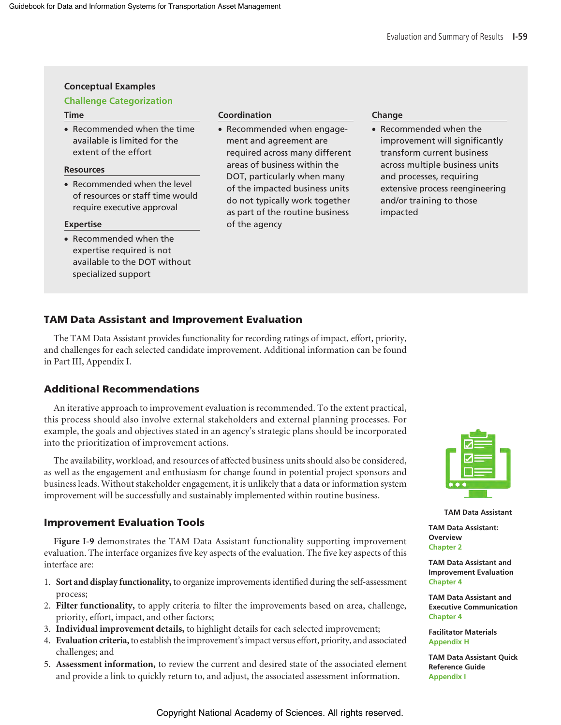# **Conceptual Examples**

## **Challenge Categorization**

• Recommended when the time available is limited for the extent of the effort

## **Resources**

• Recommended when the level of resources or staff time would require executive approval

#### **Expertise**

• Recommended when the expertise required is not available to the DOT without specialized support

#### **Time Coordination Coordination Change**

• Recommended when engagement and agreement are required across many different areas of business within the DOT, particularly when many of the impacted business units do not typically work together as part of the routine business of the agency

• Recommended when the improvement will significantly transform current business across multiple business units and processes, requiring extensive process reengineering and/or training to those impacted

# TAM Data Assistant and Improvement Evaluation

The TAM Data Assistant provides functionality for recording ratings of impact, effort, priority, and challenges for each selected candidate improvement. Additional information can be found in Part III, Appendix I.

# Additional Recommendations

An iterative approach to improvement evaluation is recommended. To the extent practical, this process should also involve external stakeholders and external planning processes. For example, the goals and objectives stated in an agency's strategic plans should be incorporated into the prioritization of improvement actions.

The availability, workload, and resources of affected business units should also be considered, as well as the engagement and enthusiasm for change found in potential project sponsors and business leads. Without stakeholder engagement, it is unlikely that a data or information system improvement will be successfully and sustainably implemented within routine business.

# Improvement Evaluation Tools

**Figure I-9** demonstrates the TAM Data Assistant functionality supporting improvement evaluation. The interface organizes five key aspects of the evaluation. The five key aspects of this interface are:

- 1. **Sort and display functionality,** to organize improvements identified during the self-assessment process;
- 2. **Filter functionality,** to apply criteria to filter the improvements based on area, challenge, priority, effort, impact, and other factors;
- 3. **Individual improvement details,** to highlight details for each selected improvement;
- 4. **Evaluation criteria,** to establish the improvement's impact versus effort, priority, and associated challenges; and
- 5. **Assessment information,** to review the current and desired state of the associated element and provide a link to quickly return to, and adjust, the associated assessment information.



**TAM Data Assistant**

**TAM Data Assistant: Overview Chapter 2**

**TAM Data Assistant and Improvement Evaluation Chapter 4**

**TAM Data Assistant and Executive Communication Chapter 4**

**Facilitator Materials Appendix H**

**TAM Data Assistant Quick Reference Guide Appendix I**

Copyright National Academy of Sciences. All rights reserved.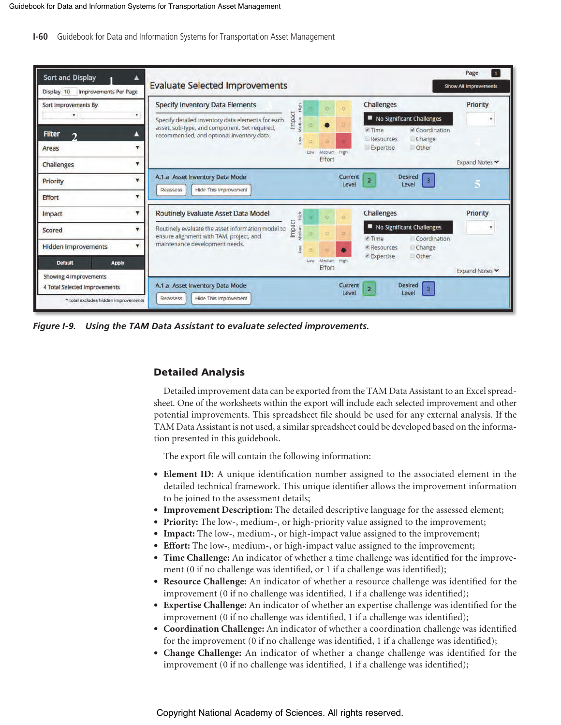**I-60** Guidebook for Data and Information Systems for Transportation Asset Management

| <b>Sort and Display</b>                    | <b>Evaluate Selected Improvements</b>                                                                                          |                    |      |                       |                  |                                                                                     | Page<br>$\mathbf{1}$<br><b>Show All Improvements</b> |
|--------------------------------------------|--------------------------------------------------------------------------------------------------------------------------------|--------------------|------|-----------------------|------------------|-------------------------------------------------------------------------------------|------------------------------------------------------|
| <b>Improvements Per Page</b><br>Display 10 |                                                                                                                                |                    |      |                       |                  |                                                                                     |                                                      |
| Sort Improvements By                       | <b>Specify Inventory Data Elements</b>                                                                                         | High               |      | o                     |                  | Challenges                                                                          | Priority                                             |
| $\mathbf{r}$<br>۰                          | Specify detailed inventory data elements for each                                                                              | Impact<br>Medium H |      |                       |                  | No Significant Challenges                                                           |                                                      |
| <b>Filter</b><br>$\bigcirc$                | asset, sub-type, and component. Set required,<br>recommended, and optional inventory data.                                     |                    |      |                       |                  | ₹ Coordination<br>$\times$ Time<br>Resources<br>Change<br>Expertise<br><b>Other</b> |                                                      |
| Areas                                      |                                                                                                                                |                    |      |                       |                  |                                                                                     |                                                      |
| Challenges                                 |                                                                                                                                |                    | Low. | Medium High<br>Effort |                  |                                                                                     | Expand Notes                                         |
| Priority                                   | A.1.a Asset Inventory Data Model<br>Hide This Improvement<br>Reassess                                                          |                    |      |                       | Current<br>Level | <b>Desired</b><br>2<br>$\overline{3}$<br>Leve                                       |                                                      |
| Effort                                     |                                                                                                                                |                    |      |                       |                  |                                                                                     |                                                      |
| Impact                                     | Routinely Evaluate Asset Data Model                                                                                            | High               |      | $\circ$               | $\overline{12}$  | Challenges                                                                          | Priority                                             |
| Scored                                     | Routinely evaluate the asset information model to<br>ensure alignment with TAM, project, and<br>maintenance development needs. | Impact<br>viedium  |      | ø                     | $\mathbf{m}$     | No Significant Challenges                                                           |                                                      |
| <b>Hidden Improvements</b>                 |                                                                                                                                |                    |      |                       |                  | Coordination<br>Time<br><b>Resources</b>                                            |                                                      |
|                                            |                                                                                                                                |                    |      |                       |                  | Change<br>Expertise<br>Other                                                        |                                                      |
| <b>Detault</b><br><b>Apply</b>             |                                                                                                                                |                    | Low  | Medium High<br>Effort |                  |                                                                                     | Expand Notes                                         |
| Showing 4 Improvements                     |                                                                                                                                |                    |      |                       |                  |                                                                                     |                                                      |
| 4 Total Selected Improvements              | A.1.a Asset Inventory Data Model                                                                                               |                    |      |                       | Current<br>Level | <b>Desired</b><br>$\overline{3}$<br>2<br>Leve                                       |                                                      |
| * total excludes hidden improvements       | Hide This Improvement<br>Reassess                                                                                              |                    |      |                       |                  |                                                                                     |                                                      |

*Figure I-9. Using the TAM Data Assistant to evaluate selected improvements.*

# Detailed Analysis

Detailed improvement data can be exported from the TAM Data Assistant to an Excel spreadsheet. One of the worksheets within the export will include each selected improvement and other potential improvements. This spreadsheet file should be used for any external analysis. If the TAM Data Assistant is not used, a similar spreadsheet could be developed based on the information presented in this guidebook.

The export file will contain the following information:

- **Element ID:** A unique identification number assigned to the associated element in the detailed technical framework. This unique identifier allows the improvement information to be joined to the assessment details;
- **Improvement Description:** The detailed descriptive language for the assessed element;
- **Priority:** The low-, medium-, or high-priority value assigned to the improvement;
- **Impact:** The low-, medium-, or high-impact value assigned to the improvement;
- **Effort:** The low-, medium-, or high-impact value assigned to the improvement;
- **Time Challenge:** An indicator of whether a time challenge was identified for the improvement (0 if no challenge was identified, or 1 if a challenge was identified);
- **Resource Challenge:** An indicator of whether a resource challenge was identified for the improvement (0 if no challenge was identified, 1 if a challenge was identified);
- **Expertise Challenge:** An indicator of whether an expertise challenge was identified for the improvement (0 if no challenge was identified, 1 if a challenge was identified);
- **Coordination Challenge:** An indicator of whether a coordination challenge was identified for the improvement (0 if no challenge was identified, 1 if a challenge was identified);
- **Change Challenge:** An indicator of whether a change challenge was identified for the improvement (0 if no challenge was identified, 1 if a challenge was identified);

Copyright National Academy of Sciences. All rights reserved.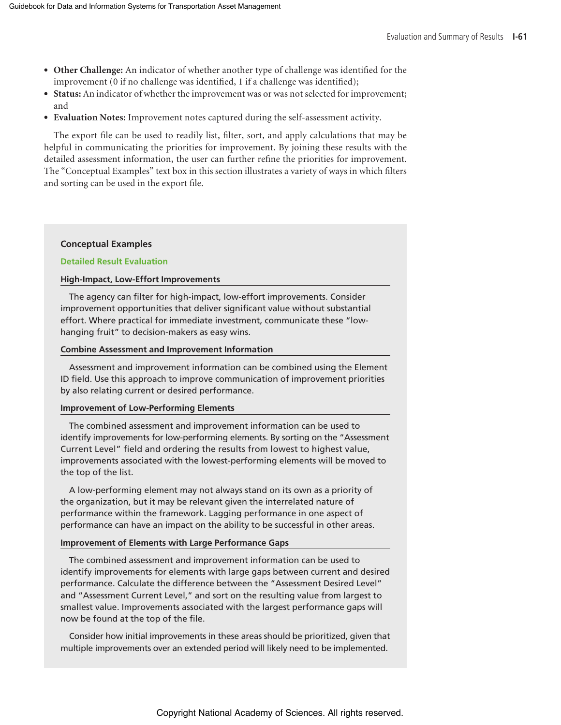- **Other Challenge:** An indicator of whether another type of challenge was identified for the improvement (0 if no challenge was identified, 1 if a challenge was identified);
- **Status:** An indicator of whether the improvement was or was not selected for improvement; and
- **Evaluation Notes:** Improvement notes captured during the self-assessment activity.

The export file can be used to readily list, filter, sort, and apply calculations that may be helpful in communicating the priorities for improvement. By joining these results with the detailed assessment information, the user can further refine the priorities for improvement. The "Conceptual Examples" text box in this section illustrates a variety of ways in which filters and sorting can be used in the export file.

#### **Conceptual Examples**

#### **Detailed Result Evaluation**

#### **High-Impact, Low-Effort Improvements**

The agency can filter for high-impact, low-effort improvements. Consider improvement opportunities that deliver significant value without substantial effort. Where practical for immediate investment, communicate these "lowhanging fruit" to decision-makers as easy wins.

#### **Combine Assessment and Improvement Information**

Assessment and improvement information can be combined using the Element ID field. Use this approach to improve communication of improvement priorities by also relating current or desired performance.

#### **Improvement of Low-Performing Elements**

The combined assessment and improvement information can be used to identify improvements for low-performing elements. By sorting on the "Assessment Current Level" field and ordering the results from lowest to highest value, improvements associated with the lowest-performing elements will be moved to the top of the list.

A low-performing element may not always stand on its own as a priority of the organization, but it may be relevant given the interrelated nature of performance within the framework. Lagging performance in one aspect of performance can have an impact on the ability to be successful in other areas.

#### **Improvement of Elements with Large Performance Gaps**

The combined assessment and improvement information can be used to identify improvements for elements with large gaps between current and desired performance. Calculate the difference between the "Assessment Desired Level" and "Assessment Current Level," and sort on the resulting value from largest to smallest value. Improvements associated with the largest performance gaps will now be found at the top of the file.

Consider how initial improvements in these areas should be prioritized, given that multiple improvements over an extended period will likely need to be implemented.